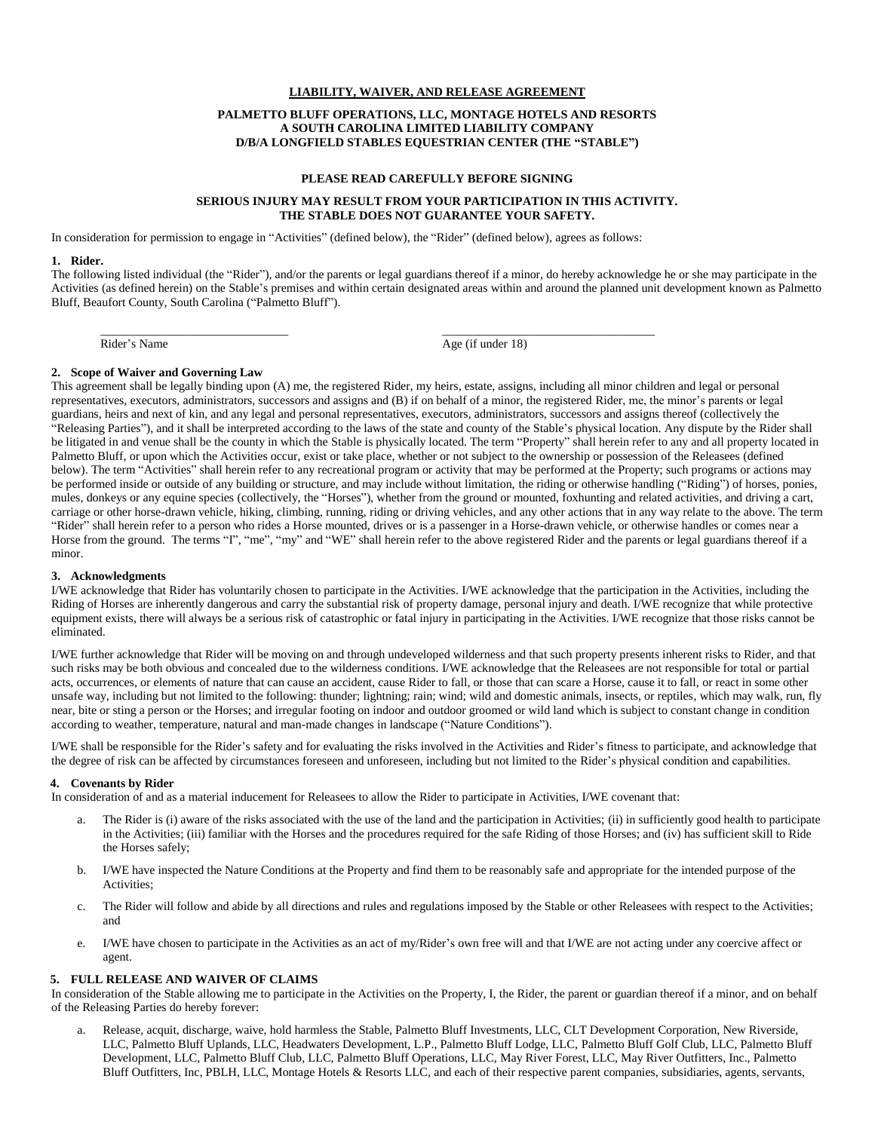# **LIABILITY, WAIVER, AND RELEASE AGREEMENT**

### **PALMETTO BLUFF OPERATIONS, LLC, MONTAGE HOTELS AND RESORTS A SOUTH CAROLINA LIMITED LIABILITY COMPANY D/B/A LONGFIELD STABLES EQUESTRIAN CENTER (THE "STABLE")**

### **PLEASE READ CAREFULLY BEFORE SIGNING**

## **SERIOUS INJURY MAY RESULT FROM YOUR PARTICIPATION IN THIS ACTIVITY. THE STABLE DOES NOT GUARANTEE YOUR SAFETY.**

In consideration for permission to engage in "Activities" (defined below), the "Rider" (defined below), agrees as follows:

#### **1. Rider.**

The following listed individual (the "Rider"), and/or the parents or legal guardians thereof if a minor, do hereby acknowledge he or she may participate in the Activities (as defined herein) on the Stable's premises and within certain designated areas within and around the planned unit development known as Palmetto Bluff, Beaufort County, South Carolina ("Palmetto Bluff").

Rider's Name

Age (if under 18)

\_\_\_\_\_\_\_\_\_\_\_\_\_\_\_\_\_\_\_\_\_\_\_\_\_\_\_\_\_\_\_\_\_\_\_

### **2. Scope of Waiver and Governing Law**

\_\_\_\_\_\_\_\_\_\_\_\_\_\_\_\_\_\_\_\_\_\_\_\_\_\_\_\_\_\_\_

This agreement shall be legally binding upon (A) me, the registered Rider, my heirs, estate, assigns, including all minor children and legal or personal representatives, executors, administrators, successors and assigns and (B) if on behalf of a minor, the registered Rider, me, the minor's parents or legal guardians, heirs and next of kin, and any legal and personal representatives, executors, administrators, successors and assigns thereof (collectively the "Releasing Parties"), and it shall be interpreted according to the laws of the state and county of the Stable's physical location. Any dispute by the Rider shall be litigated in and venue shall be the county in which the Stable is physically located. The term "Property" shall herein refer to any and all property located in Palmetto Bluff, or upon which the Activities occur, exist or take place, whether or not subject to the ownership or possession of the Releasees (defined below). The term "Activities" shall herein refer to any recreational program or activity that may be performed at the Property; such programs or actions may be performed inside or outside of any building or structure, and may include without limitation, the riding or otherwise handling ("Riding") of horses, ponies, mules, donkeys or any equine species (collectively, the "Horses"), whether from the ground or mounted, foxhunting and related activities, and driving a cart, carriage or other horse-drawn vehicle, hiking, climbing, running, riding or driving vehicles, and any other actions that in any way relate to the above. The term "Rider" shall herein refer to a person who rides a Horse mounted, drives or is a passenger in a Horse-drawn vehicle, or otherwise handles or comes near a Horse from the ground. The terms "I", "me", "my" and "WE" shall herein refer to the above registered Rider and the parents or legal guardians thereof if a minor.

### **3. Acknowledgments**

I/WE acknowledge that Rider has voluntarily chosen to participate in the Activities. I/WE acknowledge that the participation in the Activities, including the Riding of Horses are inherently dangerous and carry the substantial risk of property damage, personal injury and death. I/WE recognize that while protective equipment exists, there will always be a serious risk of catastrophic or fatal injury in participating in the Activities. I/WE recognize that those risks cannot be eliminated.

I/WE further acknowledge that Rider will be moving on and through undeveloped wilderness and that such property presents inherent risks to Rider, and that such risks may be both obvious and concealed due to the wilderness conditions. I/WE acknowledge that the Releasees are not responsible for total or partial acts, occurrences, or elements of nature that can cause an accident, cause Rider to fall, or those that can scare a Horse, cause it to fall, or react in some other unsafe way, including but not limited to the following: thunder; lightning; rain; wind; wild and domestic animals, insects, or reptiles, which may walk, run, fly near, bite or sting a person or the Horses; and irregular footing on indoor and outdoor groomed or wild land which is subject to constant change in condition according to weather, temperature, natural and man-made changes in landscape ("Nature Conditions").

I/WE shall be responsible for the Rider's safety and for evaluating the risks involved in the Activities and Rider's fitness to participate, and acknowledge that the degree of risk can be affected by circumstances foreseen and unforeseen, including but not limited to the Rider's physical condition and capabilities.

### **4. Covenants by Rider**

In consideration of and as a material inducement for Releasees to allow the Rider to participate in Activities, I/WE covenant that:

- a. The Rider is (i) aware of the risks associated with the use of the land and the participation in Activities; (ii) in sufficiently good health to participate in the Activities; (iii) familiar with the Horses and the procedures required for the safe Riding of those Horses; and (iv) has sufficient skill to Ride the Horses safely;
- b. I/WE have inspected the Nature Conditions at the Property and find them to be reasonably safe and appropriate for the intended purpose of the Activities;
- c. The Rider will follow and abide by all directions and rules and regulations imposed by the Stable or other Releasees with respect to the Activities; and
- e. I/WE have chosen to participate in the Activities as an act of my/Rider's own free will and that I/WE are not acting under any coercive affect or agent.

## **5. FULL RELEASE AND WAIVER OF CLAIMS**

In consideration of the Stable allowing me to participate in the Activities on the Property, I, the Rider, the parent or guardian thereof if a minor, and on behalf of the Releasing Parties do hereby forever:

a. Release, acquit, discharge, waive, hold harmless the Stable, Palmetto Bluff Investments, LLC, CLT Development Corporation, New Riverside, LLC, Palmetto Bluff Uplands, LLC, Headwaters Development, L.P., Palmetto Bluff Lodge, LLC, Palmetto Bluff Golf Club, LLC, Palmetto Bluff Development, LLC, Palmetto Bluff Club, LLC, Palmetto Bluff Operations, LLC, May River Forest, LLC, May River Outfitters, Inc., Palmetto Bluff Outfitters, Inc, PBLH, LLC, Montage Hotels & Resorts LLC, and each of their respective parent companies, subsidiaries, agents, servants,